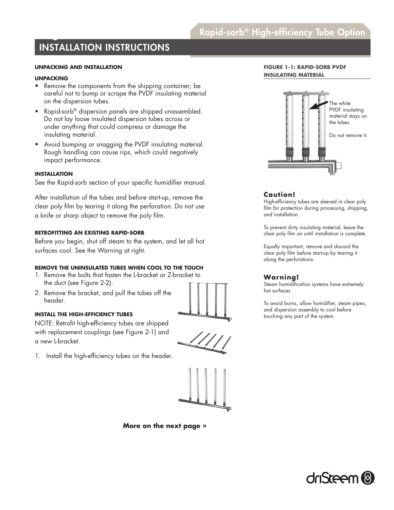# Rapid-sorb® High-efficiency Tube Option

# INSTALLATION INSTRUCTIONS

# **UNPACKING AND INSTALLATION**

### **UNPACKING**

- Remove the components from the shipping container; be careful not to bump or scrape the PVDF insulating material on the dispersion tubes.
- Rapid-sorb® dispersion panels are shipped unassembled. Do not lay loose insulated dispersion tubes across or under anything that could compress or damage the insulating material.
- Avoid bumping or snagging the PVDF insulating material. Rough handling can cause rips, which could negatively impact performance.

# **INSTALLATION**

See the Rapid-sorb section of your specific humidifier manual.

After installation of the tubes and before start-up, remove the clear poly film by tearing it along the perforation. Do not use a knife or sharp object to remove the poly film.

# **RETROFITTING AN EXISTING RAPID-SORB**

Before you begin, shut off steam to the system, and let all hot surfaces cool. See the Warning at right.

# **REMOVE THE UNINSULATED TUBES WHEN COOL TO THE TOUCH**

- 1. Remove the bolts that fasten the L-bracket or Z-bracket to the duct (see Figure 2-2).
- 2. Remove the bracket, and pull the tubes off the header.

### **INSTALL THE HIGH-EFFICIENCY TUBES**

NOTE: Retrofit high-efficiency tubes are shipped with replacement couplings (see Figure 2-1) and a new L-bracket.

1. Install the high-efficiency tubes on the header.



**More on the next page »**

# **FIGURE 1-1: RAPID-SORB PVDF INSULATING MATERIAL**



# **Caution!**

High-efficiency tubes are sleeved in clear poly film for protection during processing, shipping, and installation.

To prevent dirty insulating material, leave the clear poly film on until installation is complete.

Equally important, remove and discard the clear poly film before start-up by tearing it along the perforations.

# **Warning!**

Steam humidification systems have extremely hot surfaces.

To avoid burns, allow humidifier, steam pipes, and dispersion assembly to cool before touching any part of the system.